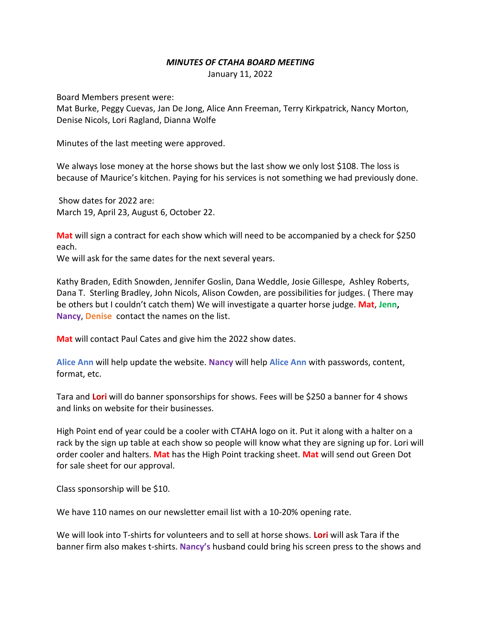## *MINUTES OF CTAHA BOARD MEETING*

January 11, 2022

Board Members present were:

Mat Burke, Peggy Cuevas, Jan De Jong, Alice Ann Freeman, Terry Kirkpatrick, Nancy Morton, Denise Nicols, Lori Ragland, Dianna Wolfe

Minutes of the last meeting were approved.

We always lose money at the horse shows but the last show we only lost \$108. The loss is because of Maurice's kitchen. Paying for his services is not something we had previously done.

Show dates for 2022 are: March 19, April 23, August 6, October 22.

**Mat** will sign a contract for each show which will need to be accompanied by a check for \$250 each.

We will ask for the same dates for the next several years.

Kathy Braden, Edith Snowden, Jennifer Goslin, Dana Weddle, Josie Gillespe, Ashley Roberts, Dana T. Sterling Bradley, John Nicols, Alison Cowden, are possibilities for judges. ( There may be others but I couldn't catch them) We will investigate a quarter horse judge. **Mat**, **Jenn, Nancy**, **Denise** contact the names on the list.

**Mat** will contact Paul Cates and give him the 2022 show dates.

**Alice Ann** will help update the website. **Nancy** will help **Alice Ann** with passwords, content, format, etc.

Tara and **Lori** will do banner sponsorships for shows. Fees will be \$250 a banner for 4 shows and links on website for their businesses.

High Point end of year could be a cooler with CTAHA logo on it. Put it along with a halter on a rack by the sign up table at each show so people will know what they are signing up for. Lori will order cooler and halters. **Mat** has the High Point tracking sheet. **Mat** will send out Green Dot for sale sheet for our approval.

Class sponsorship will be \$10.

We have 110 names on our newsletter email list with a 10-20% opening rate.

We will look into T-shirts for volunteers and to sell at horse shows. **Lori** will ask Tara if the banner firm also makes t-shirts. **Nancy's** husband could bring his screen press to the shows and